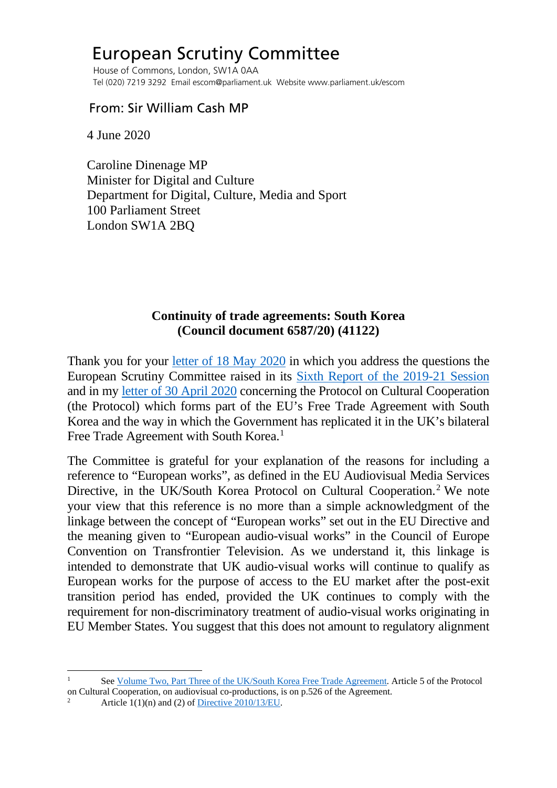## European Scrutiny Committee

 House of Commons, London, SW1A 0AA Tel (020) 7219 3292 Email escom@parliament.uk Website www.parliament.uk/escom

## From: Sir William Cash MP

4 June 2020

 Caroline Dinenage MP Minister for Digital and Culture Department for Digital, Culture, Media and Sport 100 Parliament Street London SW1A 2BQ

## **Continuity of trade agreements: South Korea (Council document 6587/20) (41122)**

Thank you for your [letter of 18 May 2020](http://europeanmemoranda.cabinetoffice.gov.uk/files/2020/05/eCase_07348_-_Cash.pdf) in which you address the questions the European Scrutiny Committee raised in its [Sixth Report of the 2019-21 Session](https://publications.parliament.uk/pa/cm5801/cmselect/cmeuleg/229-iii/22904.htm#_idTextAnchor008) and in my [letter of 30 April 2020](https://committees.parliament.uk/publications/914/documents/6813/default/) concerning the Protocol on Cultural Cooperation (the Protocol) which forms part of the EU's Free Trade Agreement with South Korea and the way in which the Government has replicated it in the UK's bilateral Free Trade Agreement with South Korea.<sup>[1](#page-0-0)</sup>

The Committee is grateful for your explanation of the reasons for including a reference to "European works", as defined in the EU Audiovisual Media Services Directive, in the UK/South Korea Protocol on Cultural Cooperation.<sup>[2](#page-0-1)</sup> We note your view that this reference is no more than a simple acknowledgment of the linkage between the concept of "European works" set out in the EU Directive and the meaning given to "European audio-visual works" in the Council of Europe Convention on Transfrontier Television. As we understand it, this linkage is intended to demonstrate that UK audio-visual works will continue to qualify as European works for the purpose of access to the EU market after the post-exit transition period has ended, provided the UK continues to comply with the requirement for non-discriminatory treatment of audio-visual works originating in EU Member States. You suggest that this does not amount to regulatory alignment

<span id="page-0-1"></span><span id="page-0-0"></span>See [Volume Two, Part Three of the UK/South Korea Free Trade Agreement.](https://assets.publishing.service.gov.uk/government/uploads/system/uploads/attachment_data/file/830523/UK_Korea_Free_Trade_Agreement_v2.pt3.pdf) Article 5 of the Protocol on Cultural Cooperation, on audiovisual co-productions, is on p.526 of the Agreement.<br><sup>2</sup> Article 1(1)(n) and (2) of [Directive 2010/13/EU.](https://eur-lex.europa.eu/legal-content/EN/TXT/PDF/?uri=CELEX:32010L0013&from=EN)